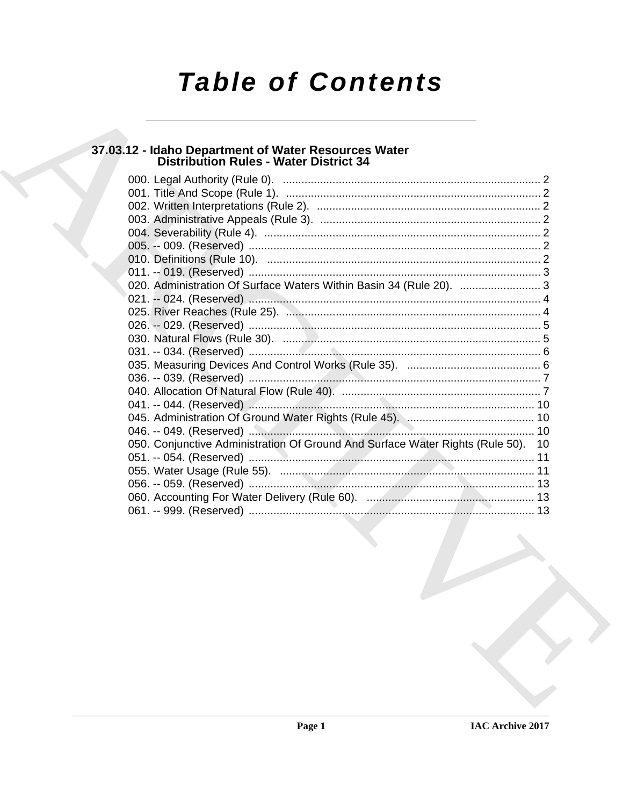# **Table of Contents**

# 37.03.12 - Idaho Department of Water Resources Water<br>Distribution Rules - Water District 34

| 020. Administration Of Surface Waters Within Basin 34 (Rule 20).  3              |  |
|----------------------------------------------------------------------------------|--|
|                                                                                  |  |
|                                                                                  |  |
|                                                                                  |  |
|                                                                                  |  |
|                                                                                  |  |
|                                                                                  |  |
|                                                                                  |  |
|                                                                                  |  |
|                                                                                  |  |
|                                                                                  |  |
|                                                                                  |  |
| 050. Conjunctive Administration Of Ground And Surface Water Rights (Rule 50). 10 |  |
|                                                                                  |  |
|                                                                                  |  |
|                                                                                  |  |
|                                                                                  |  |
|                                                                                  |  |
|                                                                                  |  |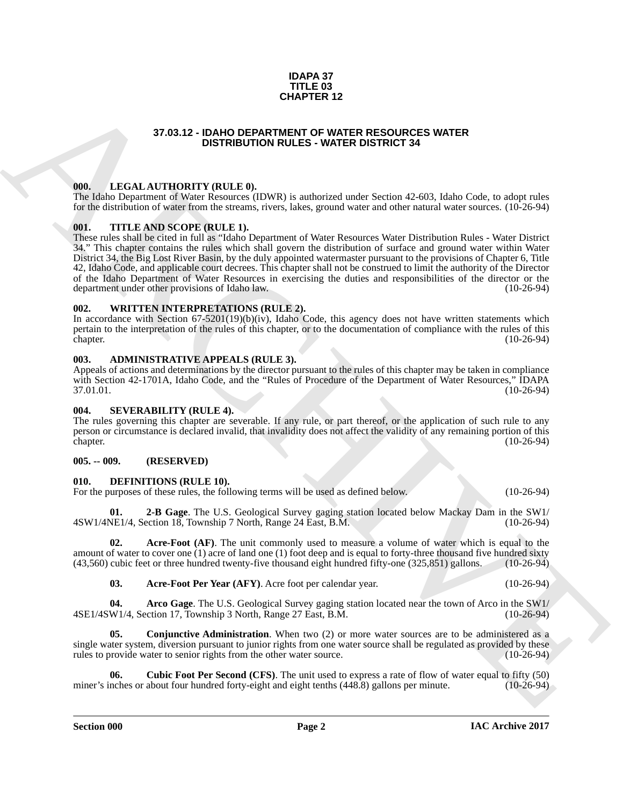## **IDAPA 37 TITLE 03 CHAPTER 12**

# **37.03.12 - IDAHO DEPARTMENT OF WATER RESOURCES WATER DISTRIBUTION RULES - WATER DISTRICT 34**

# <span id="page-1-1"></span><span id="page-1-0"></span>**000. LEGAL AUTHORITY (RULE 0).**

The Idaho Department of Water Resources (IDWR) is authorized under Section 42-603, Idaho Code, to adopt rules for the distribution of water from the streams, rivers, lakes, ground water and other natural water sources. (10-26-94)

# <span id="page-1-2"></span>**001. TITLE AND SCOPE (RULE 1).**

37.03.12 - IDAHO DEPARTER 12<br>
37.03.12 - IDAHO DEPARTEMENT OF WATER RESOURCES WATER<br>
106 - INCREDITY (RILLE, 0)<br>
106 - INCREDITY (RILLE, 0)<br>
106 - INCREDITY (RILLE, 0)<br>
107 - INCREDITY (RILLE, 0)<br>
107 - INCREDITY (RILLE, These rules shall be cited in full as "Idaho Department of Water Resources Water Distribution Rules - Water District 34." This chapter contains the rules which shall govern the distribution of surface and ground water within Water District 34, the Big Lost River Basin, by the duly appointed watermaster pursuant to the provisions of Chapter 6, Title 42, Idaho Code, and applicable court decrees. This chapter shall not be construed to limit the authority of the Director of the Idaho Department of Water Resources in exercising the duties and responsibilities of the director or the department under other provisions of Idaho law. department under other provisions of Idaho law.

### <span id="page-1-3"></span>**002. WRITTEN INTERPRETATIONS (RULE 2).**

In accordance with Section 67-5201(19)(b)(iv), Idaho Code, this agency does not have written statements which pertain to the interpretation of the rules of this chapter, or to the documentation of compliance with the rules of this chapter. (10-26-94) (10-26-94)

### <span id="page-1-4"></span>**003. ADMINISTRATIVE APPEALS (RULE 3).**

Appeals of actions and determinations by the director pursuant to the rules of this chapter may be taken in compliance with Section 42-1701A, Idaho Code, and the "Rules of Procedure of the Department of Water Resources," IDAPA 37.01.01.  $37.01.01.$  (10-26-94)

### <span id="page-1-5"></span>**004. SEVERABILITY (RULE 4).**

The rules governing this chapter are severable. If any rule, or part thereof, or the application of such rule to any person or circumstance is declared invalid, that invalidity does not affect the validity of any remaining portion of this chapter. (10-26-94)

### <span id="page-1-6"></span>**005. -- 009. (RESERVED)**

### <span id="page-1-8"></span><span id="page-1-7"></span>**010. DEFINITIONS (RULE 10).**

For the purposes of these rules, the following terms will be used as defined below. (10-26-94)

<span id="page-1-14"></span>**01. 2-B Gage**. The U.S. Geological Survey gaging station located below Mackay Dam in the SW1/ 4SW1/4NE1/4, Section 18, Township 7 North, Range 24 East, B.M.

**02. Acre-Foot (AF)**. The unit commonly used to measure a volume of water which is equal to the amount of water to cover one (1) acre of land one (1) foot deep and is equal to forty-three thousand five hundred sixty (43,560) cubic feet or three hundred twenty-five thousand eight hundred fifty-one (325,851) gallons. (10-26-94)

<span id="page-1-12"></span><span id="page-1-11"></span><span id="page-1-10"></span><span id="page-1-9"></span>**03. Acre-Foot Per Year (AFY)**. Acre foot per calendar year. (10-26-94)

**Arco Gage**. The U.S. Geological Survey gaging station located near the town of Arco in the SW1/ ction 17, Township 3 North, Range 27 East, B.M. (10-26-94) 4SE1/4SW1/4, Section 17, Township 3 North, Range 27 East, B.M.

**05.** Conjunctive Administration. When two (2) or more water sources are to be administered as a single water system, diversion pursuant to junior rights from one water source shall be regulated as provided by these rules to provide water to senior rights from the other water source. (10-26-94)

<span id="page-1-13"></span>**06.** Cubic Foot Per Second (CFS). The unit used to express a rate of flow of water equal to fifty (50) nches or about four hundred forty-eight and eight tenths (448.8) gallons per minute. (10-26-94) miner's inches or about four hundred forty-eight and eight tenths  $(448.8)$  gallons per minute.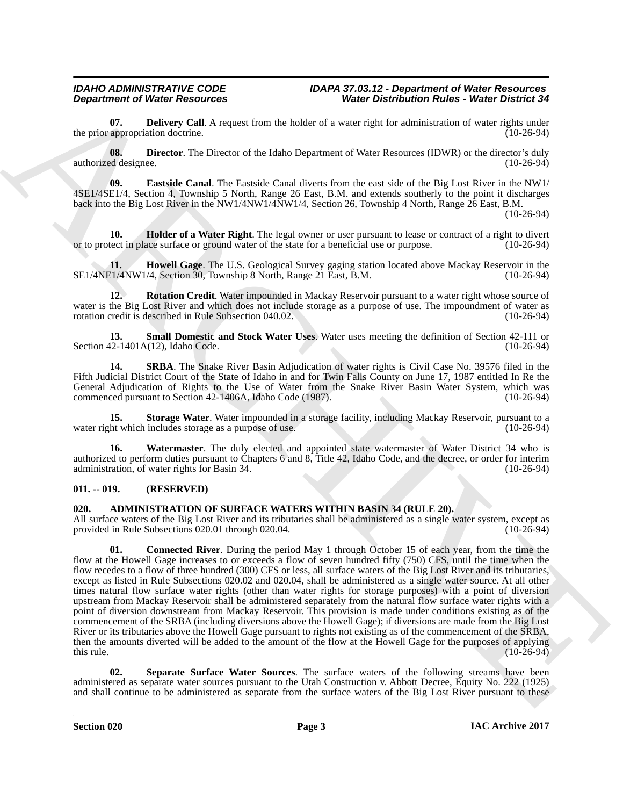<span id="page-2-5"></span>**07. Delivery Call**. A request from the holder of a water right for administration of water rights under appropriation doctrine. (10-26-94) the prior appropriation doctrine.

<span id="page-2-6"></span>**08. Director**. The Director of the Idaho Department of Water Resources (IDWR) or the director's duly authorized designee. (10-26-94)

<span id="page-2-7"></span>**09. Eastside Canal**. The Eastside Canal diverts from the east side of the Big Lost River in the NW1/ 4SE1/4SE1/4, Section 4, Township 5 North, Range 26 East, B.M. and extends southerly to the point it discharges back into the Big Lost River in the NW1/4NW1/4NW1/4, Section 26, Township 4 North, Range 26 East, B.M. (10-26-94)

<span id="page-2-8"></span>**10. Holder of a Water Right**. The legal owner or user pursuant to lease or contract of a right to divert tect in place surface or ground water of the state for a beneficial use or purpose. (10-26-94) or to protect in place surface or ground water of the state for a beneficial use or purpose.

<span id="page-2-9"></span>**11. Howell Gage**. The U.S. Geological Survey gaging station located above Mackay Reservoir in the E1/4NW1/4, Section 30, Township 8 North, Range 21 East, B.M. (10-26-94) SE1/4NE1/4NW1/4, Section 30, Township 8 North, Range 21 East, B.M.

<span id="page-2-10"></span>**12. Rotation Credit**. Water impounded in Mackay Reservoir pursuant to a water right whose source of water is the Big Lost River and which does not include storage as a purpose of use. The impoundment of water as rotation credit is described in Rule Subsection 040.02. (10-26-94)

<span id="page-2-11"></span>**13. Small Domestic and Stock Water Uses**. Water uses meeting the definition of Section 42-111 or Section  $42-1401A(12)$ , Idaho Code.

<span id="page-2-12"></span>**14. SRBA**. The Snake River Basin Adjudication of water rights is Civil Case No. 39576 filed in the Fifth Judicial District Court of the State of Idaho in and for Twin Falls County on June 17, 1987 entitled In Re the General Adjudication of Rights to the Use of Water from the Snake River Basin Water System, which was commenced pursuant to Section 42-1406A, Idaho Code (1987). (10-26-94) commenced pursuant to Section 42-1406A, Idaho Code (1987).

<span id="page-2-13"></span>**15. Storage Water**. Water impounded in a storage facility, including Mackay Reservoir, pursuant to a ht which includes storage as a purpose of use. water right which includes storage as a purpose of use.

<span id="page-2-14"></span>**16. Watermaster**. The duly elected and appointed state watermaster of Water District 34 who is authorized to perform duties pursuant to Chapters 6 and 8, Title 42, Idaho Code, and the decree, or order for interim administration, of water rights for Basin 34.

# <span id="page-2-0"></span>**011. -- 019. (RESERVED)**

# <span id="page-2-2"></span><span id="page-2-1"></span>**020. ADMINISTRATION OF SURFACE WATERS WITHIN BASIN 34 (RULE 20).**

<span id="page-2-3"></span>All surface waters of the Big Lost River and its tributaries shall be administered as a single water system, except as provided in Rule Subsections 020.01 through 020.04. provided in Rule Subsections 020.01 through 020.04.

**Department of Neuro Franchises Counter 1988.**<br>
Alle prince Counter (Neuro Counter 1988 and the business of the set and the set and the set of the set of the set and the set and the set of the set and the set of the set a **01. Connected River**. During the period May 1 through October 15 of each year, from the time the flow at the Howell Gage increases to or exceeds a flow of seven hundred fifty (750) CFS, until the time when the flow recedes to a flow of three hundred (300) CFS or less, all surface waters of the Big Lost River and its tributaries, except as listed in Rule Subsections 020.02 and 020.04, shall be administered as a single water source. At all other times natural flow surface water rights (other than water rights for storage purposes) with a point of diversion upstream from Mackay Reservoir shall be administered separately from the natural flow surface water rights with a point of diversion downstream from Mackay Reservoir. This provision is made under conditions existing as of the commencement of the SRBA (including diversions above the Howell Gage); if diversions are made from the Big Lost River or its tributaries above the Howell Gage pursuant to rights not existing as of the commencement of the SRBA, then the amounts diverted will be added to the amount of the flow at the Howell Gage for the purposes of applying this rule. (10-26-94) this rule.  $(10-26-94)$ 

<span id="page-2-4"></span>**02. Separate Surface Water Sources**. The surface waters of the following streams have been administered as separate water sources pursuant to the Utah Construction v. Abbott Decree, Equity No. 222 (1925) and shall continue to be administered as separate from the surface waters of the Big Lost River pursuant to these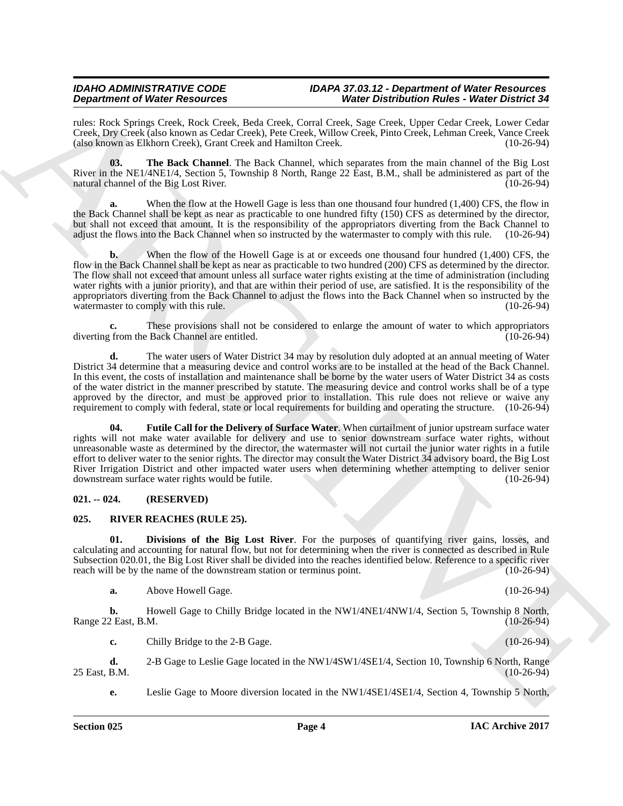rules: Rock Springs Creek, Rock Creek, Beda Creek, Corral Creek, Sage Creek, Upper Cedar Creek, Lower Cedar Creek, Dry Creek (also known as Cedar Creek), Pete Creek, Willow Creek, Pinto Creek, Lehman Creek, Vance Creek (also known as Elkhorn Creek), Grant Creek and Hamilton Creek.

<span id="page-3-3"></span>**03. The Back Channel**. The Back Channel, which separates from the main channel of the Big Lost River in the NE1/4NE1/4, Section 5, Township 8 North, Range 22 East, B.M., shall be administered as part of the natural channel of the Big Lost River. natural channel of the Big Lost River.

When the flow at the Howell Gage is less than one thousand four hundred (1,400) CFS, the flow in the Back Channel shall be kept as near as practicable to one hundred fifty (150) CFS as determined by the director, but shall not exceed that amount. It is the responsibility of the appropriators diverting from the Back Channel to adjust the flows into the Back Channel when so instructed by the watermaster to comply with this rule. (10-26-94)

**Dependent of Water Resolution (i.e., b)** ( $\mathbf{r}$  and  $\mathbf{r}$  and  $\mathbf{r}$  and  $\mathbf{r}$  and  $\mathbf{r}$  and  $\mathbf{r}$  and  $\mathbf{r}$  and  $\mathbf{r}$  and  $\mathbf{r}$  and  $\mathbf{r}$  and  $\mathbf{r}$  and  $\mathbf{r}$  and  $\mathbf{r}$  and  $\mathbf{r}$  **b.** When the flow of the Howell Gage is at or exceeds one thousand four hundred (1,400) CFS, the flow in the Back Channel shall be kept as near as practicable to two hundred (200) CFS as determined by the director. The flow shall not exceed that amount unless all surface water rights existing at the time of administration (including water rights with a junior priority), and that are within their period of use, are satisfied. It is the responsibility of the appropriators diverting from the Back Channel to adjust the flows into the Back Channel when so instructed by the watermaster to comply with this rule. (10-26-94)

These provisions shall not be considered to enlarge the amount of water to which appropriators <br>Back Channel are entitled. (10-26-94) diverting from the Back Channel are entitled.

**d.** The water users of Water District 34 may by resolution duly adopted at an annual meeting of Water District 34 determine that a measuring device and control works are to be installed at the head of the Back Channel. In this event, the costs of installation and maintenance shall be borne by the water users of Water District 34 as costs of the water district in the manner prescribed by statute. The measuring device and control works shall be of a type approved by the director, and must be approved prior to installation. This rule does not relieve or waive any requirement to comply with federal, state or local requirements for building and operating the structure. (10-26-94)

<span id="page-3-2"></span>**04. Futile Call for the Delivery of Surface Water**. When curtailment of junior upstream surface water rights will not make water available for delivery and use to senior downstream surface water rights, without unreasonable waste as determined by the director, the watermaster will not curtail the junior water rights in a futile effort to deliver water to the senior rights. The director may consult the Water District 34 advisory board, the Big Lost River Irrigation District and other impacted water users when determining whether attempting to deliver senior downstream surface water rights would be futile. (10-26-94) downstream surface water rights would be futile.

# <span id="page-3-0"></span>**021. -- 024. (RESERVED)**

# <span id="page-3-4"></span><span id="page-3-1"></span>**025. RIVER REACHES (RULE 25).**

**01. Divisions of the Big Lost River**. For the purposes of quantifying river gains, losses, and calculating and accounting for natural flow, but not for determining when the river is connected as described in Rule Subsection 020.01, the Big Lost River shall be divided into the reaches identified below. Reference to a specific river reach will be by the name of the downstream station or terminus point. (10-26-94) reach will be by the name of the downstream station or terminus point.

<span id="page-3-5"></span>**a.** Above Howell Gage. (10-26-94)

**b.** Howell Gage to Chilly Bridge located in the NW1/4NE1/4NW1/4, Section 5, Township 8 North, 2 East, B.M. (10-26-94) Range 22 East, B.M.

**c.** Chilly Bridge to the 2-B Gage. (10-26-94)

**d.** 2-B Gage to Leslie Gage located in the NW1/4SW1/4SE1/4, Section 10, Township 6 North, Range 25 East, B.M.

**e.** Leslie Gage to Moore diversion located in the NW1/4SE1/4SE1/4, Section 4, Township 5 North,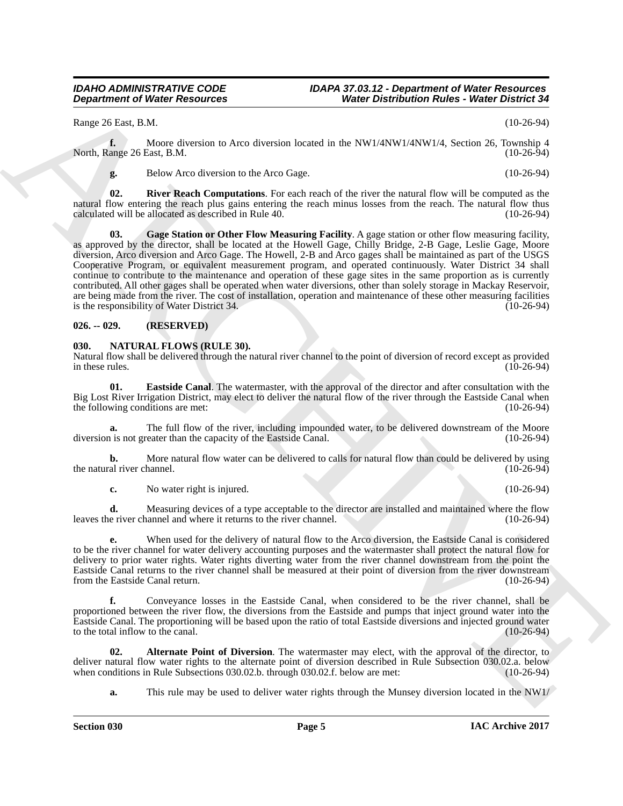Range 26 East, B.M. (10-26-94)

**f.** Moore diversion to Arco diversion located in the NW1/4NW1/4NW1/4, Section 26, Township 4 ange 26 East, B.M. (10-26-94) North, Range 26 East, B.M.

<span id="page-4-6"></span><span id="page-4-5"></span>**g.** Below Arco diversion to the Arco Gage. (10-26-94)

**02.** River Reach Computations. For each reach of the river the natural flow will be computed as the natural flow entering the reach plus gains entering the reach minus losses from the reach. The natural flow thus calculated will be allocated as described in Rule 40. (10-26-94) calculated will be allocated as described in Rule 40.

**Department of Weier Research of The United States Controller States Controller States Controller States Controller States Controller States Controller States Controller States Controller States Controller States Controll 03. Gage Station or Other Flow Measuring Facility**. A gage station or other flow measuring facility, as approved by the director, shall be located at the Howell Gage, Chilly Bridge, 2-B Gage, Leslie Gage, Moore diversion, Arco diversion and Arco Gage. The Howell, 2-B and Arco gages shall be maintained as part of the USGS Cooperative Program, or equivalent measurement program, and operated continuously. Water District 34 shall continue to contribute to the maintenance and operation of these gage sites in the same proportion as is currently contributed. All other gages shall be operated when water diversions, other than solely storage in Mackay Reservoir, are being made from the river. The cost of installation, operation and maintenance of these other measuring facilities is the responsibility of Water District 34. (10-26-94)

# <span id="page-4-0"></span>**026. -- 029. (RESERVED)**

# <span id="page-4-2"></span><span id="page-4-1"></span>**030. NATURAL FLOWS (RULE 30).**

Natural flow shall be delivered through the natural river channel to the point of diversion of record except as provided in these rules. (10-26-94)

<span id="page-4-4"></span>**01. Eastside Canal**. The watermaster, with the approval of the director and after consultation with the Big Lost River Irrigation District, may elect to deliver the natural flow of the river through the Eastside Canal when the following conditions are met: (10-26-94) the following conditions are met:

**a.** The full flow of the river, including impounded water, to be delivered downstream of the Moore is not greater than the capacity of the Eastside Canal. (10-26-94) diversion is not greater than the capacity of the Eastside Canal.

**b.** More natural flow water can be delivered to calls for natural flow than could be delivered by using al river channel. (10-26-94) the natural river channel.

**c.** No water right is injured. (10-26-94)

**d.** Measuring devices of a type acceptable to the director are installed and maintained where the flow e river channel and where it returns to the river channel. (10-26-94) leaves the river channel and where it returns to the river channel.

**e.** When used for the delivery of natural flow to the Arco diversion, the Eastside Canal is considered to be the river channel for water delivery accounting purposes and the watermaster shall protect the natural flow for delivery to prior water rights. Water rights diverting water from the river channel downstream from the point the Eastside Canal returns to the river channel shall be measured at their point of diversion from the river downstream from the Eastside Canal return.

**f.** Conveyance losses in the Eastside Canal, when considered to be the river channel, shall be proportioned between the river flow, the diversions from the Eastside and pumps that inject ground water into the Eastside Canal. The proportioning will be based upon the ratio of total Eastside diversions and injected ground water to the total inflow to the canal.

**02. Alternate Point of Diversion**. The watermaster may elect, with the approval of the director, to deliver natural flow water rights to the alternate point of diversion described in Rule Subsection 030.02.a. below<br>when conditions in Rule Subsections 030.02.b. through 030.02.f. below are met: (10-26-94) when conditions in Rule Subsections 030.02.b. through 030.02.f. below are met:

<span id="page-4-3"></span>**a.** This rule may be used to deliver water rights through the Munsey diversion located in the NW1/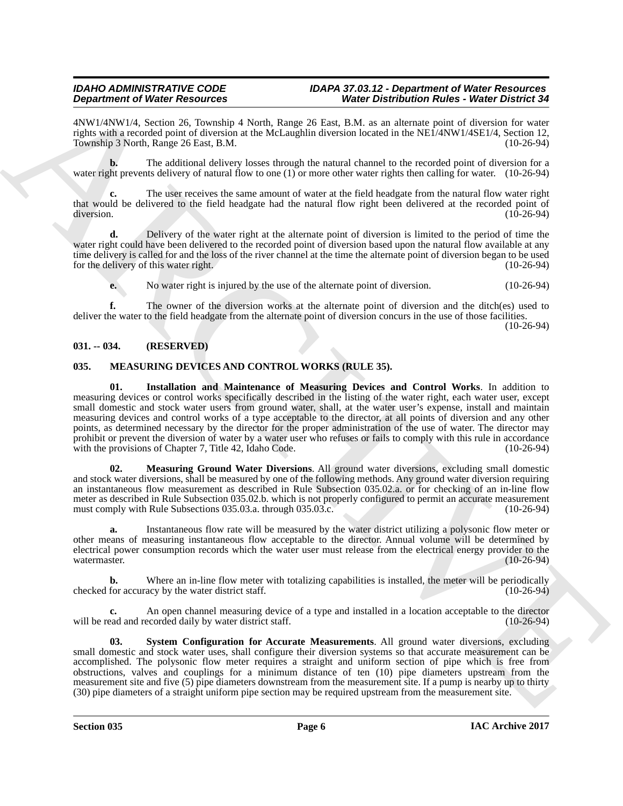4NW1/4NW1/4, Section 26, Township 4 North, Range 26 East, B.M. as an alternate point of diversion for water rights with a recorded point of diversion at the McLaughlin diversion located in the NE1/4NW1/4SE1/4, Section 12, Township 3 North, Range 26 East, B.M.

**b.** The additional delivery losses through the natural channel to the recorded point of diversion for a water right prevents delivery of natural flow to one (1) or more other water rights then calling for water. (10-26-94)

**c.** The user receives the same amount of water at the field headgate from the natural flow water right that would be delivered to the field headgate had the natural flow right been delivered at the recorded point of diversion. (10-26-94) diversion. (10-26-94)

**d.** Delivery of the water right at the alternate point of diversion is limited to the period of time the water right could have been delivered to the recorded point of diversion based upon the natural flow available at any time delivery is called for and the loss of the river channel at the time the alternate point of diversion began to be used for the delivery of this water right. (10-26-94)

**e.** No water right is injured by the use of the alternate point of diversion. (10-26-94)

**f.** The owner of the diversion works at the alternate point of diversion and the ditch(es) used to deliver the water to the field headgate from the alternate point of diversion concurs in the use of those facilities.

 $(10-26-94)$ 

# <span id="page-5-0"></span>**031. -- 034. (RESERVED)**

# <span id="page-5-3"></span><span id="page-5-2"></span><span id="page-5-1"></span>**035. MEASURING DEVICES AND CONTROL WORKS (RULE 35).**

**Dependent of Water Resources** on the Result of the Distribution Relief of the Resources of the Resources of the Resources of the Resources of the Resources of the Resources of the Resources of the Resources of the Resour **01. Installation and Maintenance of Measuring Devices and Control Works**. In addition to measuring devices or control works specifically described in the listing of the water right, each water user, except small domestic and stock water users from ground water, shall, at the water user's expense, install and maintain measuring devices and control works of a type acceptable to the director, at all points of diversion and any other points, as determined necessary by the director for the proper administration of the use of water. The director may prohibit or prevent the diversion of water by a water user who refuses or fails to comply with this rule in accordance with the provisions of Chapter 7, Title 42, Idaho Code. (10-26-94)

<span id="page-5-4"></span>**02. Measuring Ground Water Diversions**. All ground water diversions, excluding small domestic and stock water diversions, shall be measured by one of the following methods. Any ground water diversion requiring an instantaneous flow measurement as described in Rule Subsection 035.02.a. or for checking of an in-line flow meter as described in Rule Subsection 035.02.b. which is not properly configured to permit an accurate measurement must comply with Rule Subsections 035.03.a. through 035.03.c. (10-26-94)

**a.** Instantaneous flow rate will be measured by the water district utilizing a polysonic flow meter or other means of measuring instantaneous flow acceptable to the director. Annual volume will be determined by electrical power consumption records which the water user must release from the electrical energy provider to the watermaster. (10-26-94)

**b.** Where an in-line flow meter with totalizing capabilities is installed, the meter will be periodically for accuracy by the water district staff. checked for accuracy by the water district staff.

**c.** An open channel measuring device of a type and installed in a location acceptable to the director ead and recorded daily by water district staff. (10-26-94) will be read and recorded daily by water district staff.

<span id="page-5-5"></span>**System Configuration for Accurate Measurements**. All ground water diversions, excluding small domestic and stock water uses, shall configure their diversion systems so that accurate measurement can be accomplished. The polysonic flow meter requires a straight and uniform section of pipe which is free from obstructions, valves and couplings for a minimum distance of ten (10) pipe diameters upstream from the measurement site and five (5) pipe diameters downstream from the measurement site. If a pump is nearby up to thirty (30) pipe diameters of a straight uniform pipe section may be required upstream from the measurement site.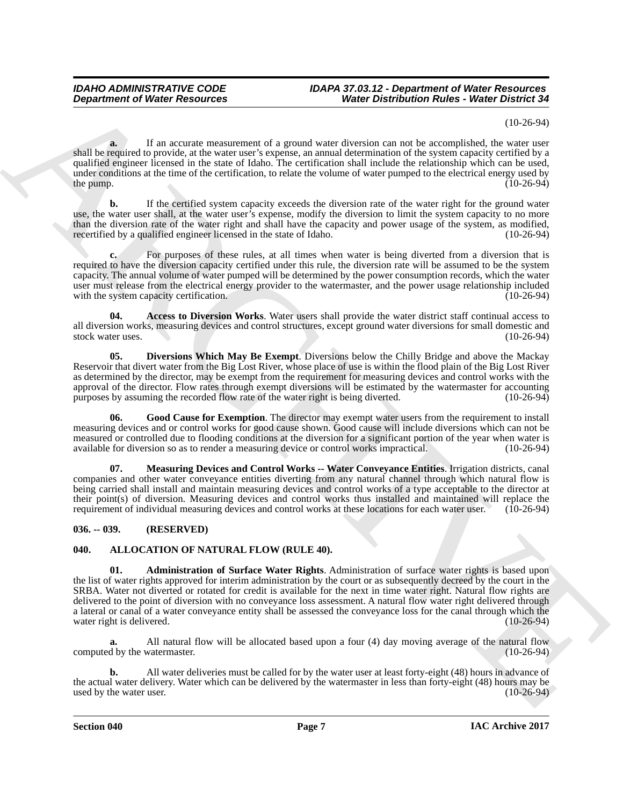# (10-26-94)

**a.** If an accurate measurement of a ground water diversion can not be accomplished, the water user shall be required to provide, at the water user's expense, an annual determination of the system capacity certified by a qualified engineer licensed in the state of Idaho. The certification shall include the relationship which can be used, under conditions at the time of the certification, to relate the volume of water pumped to the electrical energy used by the pump. (10-26-94) the pump.  $(10-26-94)$ 

**b.** If the certified system capacity exceeds the diversion rate of the water right for the ground water use, the water user shall, at the water user's expense, modify the diversion to limit the system capacity to no more than the diversion rate of the water right and shall have the capacity and power usage of the system, as modified, recertified by a qualified engineer licensed in the state of Idaho. (10-26-94) recertified by a qualified engineer licensed in the state of Idaho.

For purposes of these rules, at all times when water is being diverted from a diversion that is required to have the diversion capacity certified under this rule, the diversion rate will be assumed to be the system capacity. The annual volume of water pumped will be determined by the power consumption records, which the water user must release from the electrical energy provider to the watermaster, and the power usage relationship included<br>with the system capacity certification. (10-26-94) with the system capacity certification.

<span id="page-6-4"></span>**04. Access to Diversion Works**. Water users shall provide the water district staff continual access to all diversion works, measuring devices and control structures, except ground water diversions for small domestic and stock water uses. (10-26-94) stock water uses.

<span id="page-6-5"></span>**05. Diversions Which May Be Exempt**. Diversions below the Chilly Bridge and above the Mackay Reservoir that divert water from the Big Lost River, whose place of use is within the flood plain of the Big Lost River as determined by the director, may be exempt from the requirement for measuring devices and control works with the approval of the director. Flow rates through exempt diversions will be estimated by the watermaster for accounting<br>purposes by assuming the recorded flow rate of the water right is being diverted. (10-26-94) purposes by assuming the recorded flow rate of the water right is being diverted.

<span id="page-6-6"></span>**06. Good Cause for Exemption**. The director may exempt water users from the requirement to install measuring devices and or control works for good cause shown. Good cause will include diversions which can not be measured or controlled due to flooding conditions at the diversion for a significant portion of the year when water is available for diversion so as to render a measuring device or control works impractical. (10-26-94) available for diversion so as to render a measuring device or control works impractical.

<span id="page-6-7"></span>**07. Measuring Devices and Control Works -- Water Conveyance Entities**. Irrigation districts, canal companies and other water conveyance entities diverting from any natural channel through which natural flow is being carried shall install and maintain measuring devices and control works of a type acceptable to the director at their point(s) of diversion. Measuring devices and control works thus installed and maintained will replace the requirement of individual measuring devices and control works at these locations for each water user. (10-26-94)

# <span id="page-6-0"></span>**036. -- 039. (RESERVED)**

# <span id="page-6-3"></span><span id="page-6-2"></span><span id="page-6-1"></span>**040. ALLOCATION OF NATURAL FLOW (RULE 40).**

**Department of Nieser Research of Agents Commission Water Distribution Rates where Distribution Containers and the system of Agents Commission Containers and the system of the system of the system of the system of the sys 01. Administration of Surface Water Rights**. Administration of surface water rights is based upon the list of water rights approved for interim administration by the court or as subsequently decreed by the court in the SRBA. Water not diverted or rotated for credit is available for the next in time water right. Natural flow rights are delivered to the point of diversion with no conveyance loss assessment. A natural flow water right delivered through a lateral or canal of a water conveyance entity shall be assessed the conveyance loss for the canal through which the water right is delivered. (10-26-94) water right is delivered.

**a.** All natural flow will be allocated based upon a four (4) day moving average of the natural flow computed by the watermaster.

**b.** All water deliveries must be called for by the water user at least forty-eight (48) hours in advance of the actual water delivery. Water which can be delivered by the watermaster in less than forty-eight (48) hours may be used by the water user. (10-26-94) used by the water user.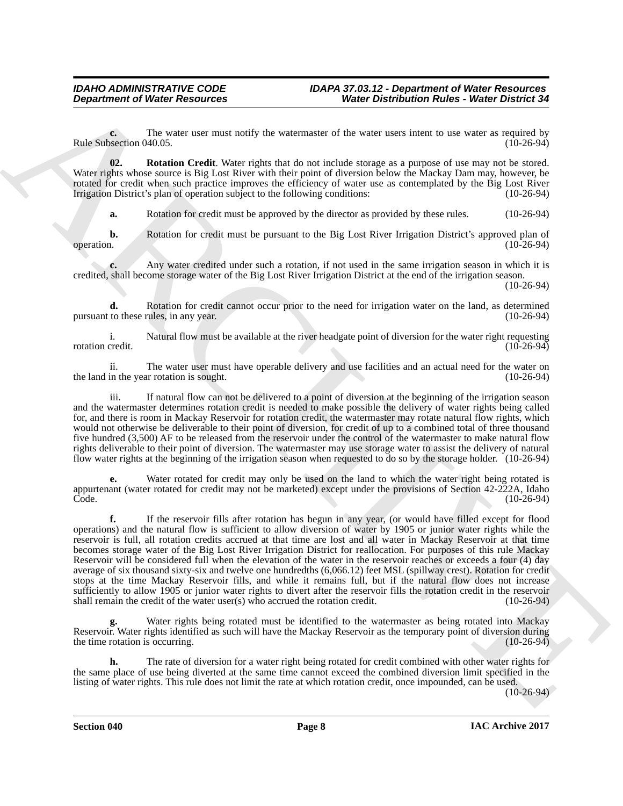**c.** The water user must notify the watermaster of the water users intent to use water as required by section 040.05. (10-26-94) Rule Subsection 040.05.

**02. Rotation Credit**. Water rights that do not include storage as a purpose of use may not be stored. Water rights whose source is Big Lost River with their point of diversion below the Mackay Dam may, however, be rotated for credit when such practice improves the efficiency of water use as contemplated by the Big Lost River<br>Irrigation District's plan of operation subject to the following conditions: (10-26-94) Irrigation District's plan of operation subject to the following conditions:

<span id="page-7-0"></span>**a.** Rotation for credit must be approved by the director as provided by these rules. (10-26-94)

**b.** Rotation for credit must be pursuant to the Big Lost River Irrigation District's approved plan of operation. (10-26-94) operation. (10-26-94)

**c.** Any water credited under such a rotation, if not used in the same irrigation season in which it is credited, shall become storage water of the Big Lost River Irrigation District at the end of the irrigation season.

(10-26-94)

**d.** Rotation for credit cannot occur prior to the need for irrigation water on the land, as determined to these rules, in any year. (10-26-94) pursuant to these rules, in any year.

i. Natural flow must be available at the river headgate point of diversion for the water right requesting credit. (10-26-94) rotation credit.

ii. The water user must have operable delivery and use facilities and an actual need for the water on<br>in the year rotation is sought. (10-26-94) the land in the year rotation is sought.

iii. If natural flow can not be delivered to a point of diversion at the beginning of the irrigation season and the watermaster determines rotation credit is needed to make possible the delivery of water rights being called for, and there is room in Mackay Reservoir for rotation credit, the watermaster may rotate natural flow rights, which would not otherwise be deliverable to their point of diversion, for credit of up to a combined total of three thousand five hundred (3,500) AF to be released from the reservoir under the control of the watermaster to make natural flow rights deliverable to their point of diversion. The watermaster may use storage water to assist the delivery of natural flow water rights at the beginning of the irrigation season when requested to do so by the storage holder. (10-26-94)

**e.** Water rotated for credit may only be used on the land to which the water right being rotated is appurtenant (water rotated for credit may not be marketed) except under the provisions of Section 42-222A, Idaho Соde. (10-26-94) (10-26-94) (10-26-94) (10-26-94) (10-26-94) (10-26-94) (10-26-94) (10-26-94) (10-26-94) (10-26-94)

**Department of Water Resources**<br>
The value of the state of the water use of the water was first of the water was first to the system of the state of the state of the system of the system of the system of the system of the **f.** If the reservoir fills after rotation has begun in any year, (or would have filled except for flood operations) and the natural flow is sufficient to allow diversion of water by 1905 or junior water rights while the reservoir is full, all rotation credits accrued at that time are lost and all water in Mackay Reservoir at that time becomes storage water of the Big Lost River Irrigation District for reallocation. For purposes of this rule Mackay Reservoir will be considered full when the elevation of the water in the reservoir reaches or exceeds a four (4) day average of six thousand sixty-six and twelve one hundredths (6,066.12) feet MSL (spillway crest). Rotation for credit stops at the time Mackay Reservoir fills, and while it remains full, but if the natural flow does not increase sufficiently to allow 1905 or junior water rights to divert after the reservoir fills the rotation credit in the reservoir shall remain the credit of the water user(s) who accrued the rotation credit. (10-26-94)

Water rights being rotated must be identified to the watermaster as being rotated into Mackay Reservoir. Water rights identified as such will have the Mackay Reservoir as the temporary point of diversion during the time rotation is occurring. (10-26-94)

**h.** The rate of diversion for a water right being rotated for credit combined with other water rights for the same place of use being diverted at the same time cannot exceed the combined diversion limit specified in the listing of water rights. This rule does not limit the rate at which rotation credit, once impounded, can be used.

 $(10-26-94)$ 

**Section 040 Page 8**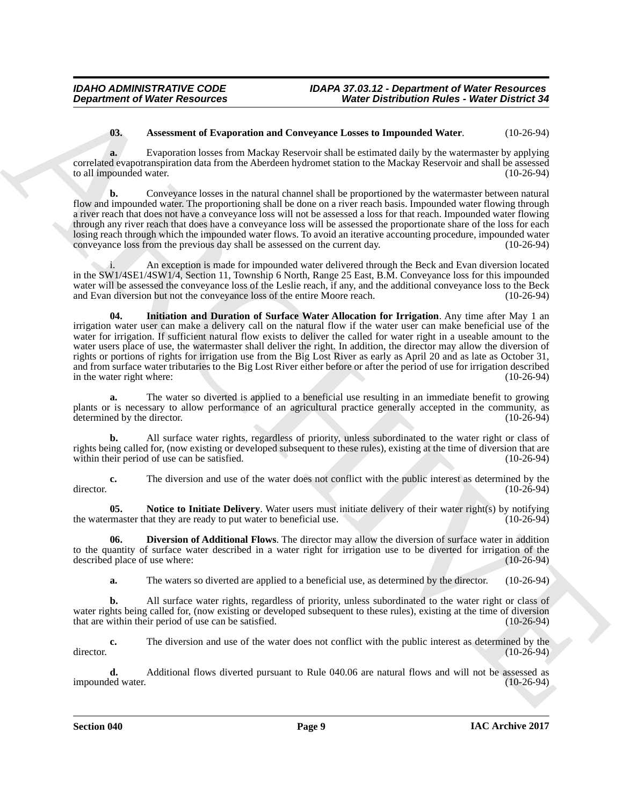# <span id="page-8-0"></span>**03. Assessment of Evaporation and Conveyance Losses to Impounded Water**. (10-26-94)

**a.** Evaporation losses from Mackay Reservoir shall be estimated daily by the watermaster by applying correlated evapotranspiration data from the Aberdeen hydromet station to the Mackay Reservoir and shall be assessed to all impounded water.

**b.** Conveyance losses in the natural channel shall be proportioned by the watermaster between natural flow and impounded water. The proportioning shall be done on a river reach basis. Impounded water flowing through a river reach that does not have a conveyance loss will not be assessed a loss for that reach. Impounded water flowing through any river reach that does have a conveyance loss will be assessed the proportionate share of the loss for each losing reach through which the impounded water flows. To avoid an iterative accounting procedure, impounded water convevance loss from the previous day shall be assessed on the current day. (10-26-94) conveyance loss from the previous day shall be assessed on the current day.

<span id="page-8-2"></span>An exception is made for impounded water delivered through the Beck and Evan diversion located in the SW1/4SE1/4SW1/4, Section 11, Township 6 North, Range 25 East, B.M. Conveyance loss for this impounded water will be assessed the conveyance loss of the Leslie reach, if any, and the additional conveyance loss to the Beck<br>and Evan diversion but not the conveyance loss of the entire Moore reach. and Evan diversion but not the conveyance loss of the entire Moore reach.

ARCHIVE **04. Initiation and Duration of Surface Water Allocation for Irrigation**. Any time after May 1 an irrigation water user can make a delivery call on the natural flow if the water user can make beneficial use of the water for irrigation. If sufficient natural flow exists to deliver the called for water right in a useable amount to the water users place of use, the watermaster shall deliver the right. In addition, the director may allow the diversion of rights or portions of rights for irrigation use from the Big Lost River as early as April 20 and as late as October 31, and from surface water tributaries to the Big Lost River either before or after the period of use for irrigation described<br>in the water right where: (10-26-94) in the water right where:

**a.** The water so diverted is applied to a beneficial use resulting in an immediate benefit to growing plants or is necessary to allow performance of an agricultural practice generally accepted in the community, as determined by the director. (10-26-94) determined by the director.

**b.** All surface water rights, regardless of priority, unless subordinated to the water right or class of rights being called for, (now existing or developed subsequent to these rules), existing at the time of diversion that are within their period of use can be satisfied.

**c.** The diversion and use of the water does not conflict with the public interest as determined by the (10-26-94) director. (10-26-94)

<span id="page-8-3"></span>**05.** Notice to Initiate Delivery. Water users must initiate delivery of their water right(s) by notifying master that they are ready to put water to beneficial use. (10-26-94) the watermaster that they are ready to put water to beneficial use.

**06. Diversion of Additional Flows**. The director may allow the diversion of surface water in addition to the quantity of surface water described in a water right for irrigation use to be diverted for irrigation of the described place of use where: (10-26-94) described place of use where:

<span id="page-8-1"></span>**a.** The waters so diverted are applied to a beneficial use, as determined by the director. (10-26-94)

**b.** All surface water rights, regardless of priority, unless subordinated to the water right or class of water rights being called for, (now existing or developed subsequent to these rules), existing at the time of diversion that are within their period of use can be satisfied. (10-26-94) that are within their period of use can be satisfied.

**c.** The diversion and use of the water does not conflict with the public interest as determined by the (10-26-94)  $\frac{d}{26-94}$  (10-26-94)

**d.** Additional flows diverted pursuant to Rule 040.06 are natural flows and will not be assessed as led water. (10-26-94) impounded water.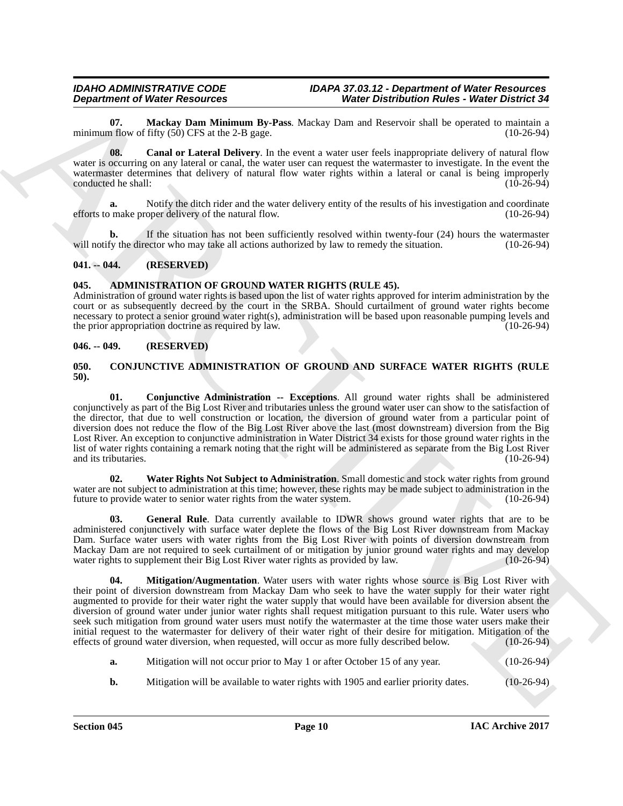<span id="page-9-6"></span>**07. Mackay Dam Minimum By-Pass**. Mackay Dam and Reservoir shall be operated to maintain a minimum flow of fifty  $(50)$  CFS at the 2-B gage.

<span id="page-9-5"></span>**08. Canal or Lateral Delivery**. In the event a water user feels inappropriate delivery of natural flow water is occurring on any lateral or canal, the water user can request the watermaster to investigate. In the event the watermaster determines that delivery of natural flow water rights within a lateral or canal is being improperly<br>conducted he shall: (10-26-94) conducted he shall:

**a.** Notify the ditch rider and the water delivery entity of the results of his investigation and coordinate efforts to make proper delivery of the natural flow. (10-26-94)

**b.** If the situation has not been sufficiently resolved within twenty-four (24) hours the watermaster fy the director who may take all actions authorized by law to remedy the situation. (10-26-94) will notify the director who may take all actions authorized by law to remedy the situation.

# <span id="page-9-0"></span>**041. -- 044. (RESERVED)**

# <span id="page-9-4"></span><span id="page-9-1"></span>**045. ADMINISTRATION OF GROUND WATER RIGHTS (RULE 45).**

Administration of ground water rights is based upon the list of water rights approved for interim administration by the court or as subsequently decreed by the court in the SRBA. Should curtailment of ground water rights become necessary to protect a senior ground water right(s), administration will be based upon reasonable pumping levels and the prior appropriation doctrine as required by law. (10-26-94)

# <span id="page-9-2"></span>**046. -- 049. (RESERVED)**

### <span id="page-9-7"></span><span id="page-9-3"></span>**050. CONJUNCTIVE ADMINISTRATION OF GROUND AND SURFACE WATER RIGHTS (RULE 50).**

<span id="page-9-8"></span>**01. Conjunctive Administration -- Exceptions**. All ground water rights shall be administered conjunctively as part of the Big Lost River and tributaries unless the ground water user can show to the satisfaction of the director, that due to well construction or location, the diversion of ground water from a particular point of diversion does not reduce the flow of the Big Lost River above the last (most downstream) diversion from the Big Lost River. An exception to conjunctive administration in Water District 34 exists for those ground water rights in the list of water rights containing a remark noting that the right will be administered as separate from the Big Lost River and its tributaries. (10-26-94)

<span id="page-9-11"></span>**02. Water Rights Not Subject to Administration**. Small domestic and stock water rights from ground water are not subject to administration at this time; however, these rights may be made subject to administration in the future to provide water to senior water rights from the water system. (10-26-94)

<span id="page-9-10"></span><span id="page-9-9"></span>**03. General Rule**. Data currently available to IDWR shows ground water rights that are to be administered conjunctively with surface water deplete the flows of the Big Lost River downstream from Mackay Dam. Surface water users with water rights from the Big Lost River with points of diversion downstream from Mackay Dam are not required to seek curtailment of or mitigation by junior ground water rights and may develop water rights to supplement their Big Lost River water rights as provided by law. (10-26-94) water rights to supplement their Big Lost River water rights as provided by law.

**Department of Newto Fractions on Eq. 19.** Weire Detection Rates: Weire Orientation Rates: Weire Orientation and<br>minimum and the State Dam Minimum By-Dao. Mather and the state of the system of the Control of Table 10.<br>
wi **04. Mitigation/Augmentation**. Water users with water rights whose source is Big Lost River with their point of diversion downstream from Mackay Dam who seek to have the water supply for their water right augmented to provide for their water right the water supply that would have been available for diversion absent the diversion of ground water under junior water rights shall request mitigation pursuant to this rule. Water users who seek such mitigation from ground water users must notify the watermaster at the time those water users make their initial request to the watermaster for delivery of their water right of their desire for mitigation. Mitigation of the effects of ground water diversion, when requested, will occur as more fully described below. (10-26-94)

- **a.** Mitigation will not occur prior to May 1 or after October 15 of any year. (10-26-94)
- **b.** Mitigation will be available to water rights with 1905 and earlier priority dates. (10-26-94)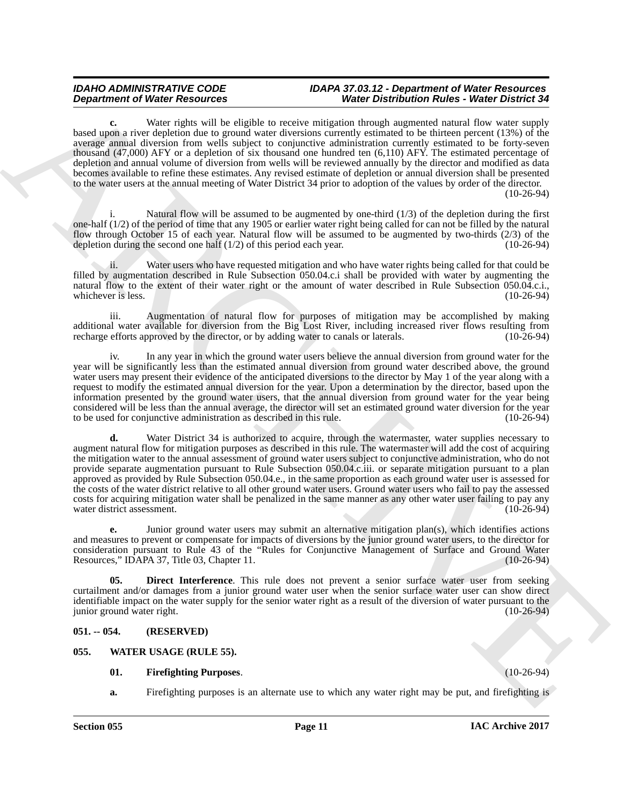**c.** Water rights will be eligible to receive mitigation through augmented natural flow water supply based upon a river depletion due to ground water diversions currently estimated to be thirteen percent (13%) of the average annual diversion from wells subject to conjunctive administration currently estimated to be forty-seven thousand (47,000) AFY or a depletion of six thousand one hundred ten (6,110) AFY. The estimated percentage of depletion and annual volume of diversion from wells will be reviewed annually by the director and modified as data becomes available to refine these estimates. Any revised estimate of depletion or annual diversion shall be presented to the water users at the annual meeting of Water District 34 prior to adoption of the values by order of the director. (10-26-94)

Natural flow will be assumed to be augmented by one-third  $(1/3)$  of the depletion during the first one-half (1/2) of the period of time that any 1905 or earlier water right being called for can not be filled by the natural flow through October 15 of each year. Natural flow will be assumed to be augmented by two-thirds  $(2/3)$  of the depletion during the second one half  $(1/2)$  of this period each year. (10-26-94) depletion during the second one half  $(1/2)$  of this period each year.

ii. Water users who have requested mitigation and who have water rights being called for that could be filled by augmentation described in Rule Subsection 050.04.c.i shall be provided with water by augmenting the natural flow to the extent of their water right or the amount of water described in Rule Subsection 050.04.c.i., whichever is less. (10-26-94) whichever is less.

iii. Augmentation of natural flow for purposes of mitigation may be accomplished by making additional water available for diversion from the Big Lost River, including increased river flows resulting from recharge efforts approved by the director, or by adding water to canals or laterals. (10-26-94) recharge efforts approved by the director, or by adding water to canals or laterals.

In any year in which the ground water users believe the annual diversion from ground water for the year will be significantly less than the estimated annual diversion from ground water described above, the ground water users may present their evidence of the anticipated diversions to the director by May 1 of the year along with a request to modify the estimated annual diversion for the year. Upon a determination by the director, based upon the information presented by the ground water users, that the annual diversion from ground water for the year being considered will be less than the annual average, the director will set an estimated ground water diversion for the year<br>to be used for conjunctive administration as described in this rule. (10-26-94) to be used for conjunctive administration as described in this rule.

**Department of Water Resources** on the scaling of Water Distribution Resources on the scaling of Water Distribution Resources the scaling of the scaling of the scaling of the scaling of the scaling of the scaling of the s **d.** Water District 34 is authorized to acquire, through the watermaster, water supplies necessary to augment natural flow for mitigation purposes as described in this rule. The watermaster will add the cost of acquiring the mitigation water to the annual assessment of ground water users subject to conjunctive administration, who do not provide separate augmentation pursuant to Rule Subsection 050.04.c.iii. or separate mitigation pursuant to a plan approved as provided by Rule Subsection 050.04.e., in the same proportion as each ground water user is assessed for the costs of the water district relative to all other ground water users. Ground water users who fail to pay the assessed costs for acquiring mitigation water shall be penalized in the same manner as any other water user failing to pay any water district assessment.

**e.** Junior ground water users may submit an alternative mitigation plan(s), which identifies actions and measures to prevent or compensate for impacts of diversions by the junior ground water users, to the director for consideration pursuant to Rule 43 of the "Rules for Conjunctive Management of Surface and Ground Water Resources," IDAPA 37, Title 03, Chapter 11.

<span id="page-10-2"></span>**05. Direct Interference**. This rule does not prevent a senior surface water user from seeking curtailment and/or damages from a junior ground water user when the senior surface water user can show direct identifiable impact on the water supply for the senior water right as a result of the diversion of water pursuant to the junior ground water right.

# <span id="page-10-0"></span>**051. -- 054. (RESERVED)**

### <span id="page-10-1"></span>**055. WATER USAGE (RULE 55).**

### <span id="page-10-4"></span><span id="page-10-3"></span>**01. Firefighting Purposes**. (10-26-94)

**a.** Firefighting purposes is an alternate use to which any water right may be put, and firefighting is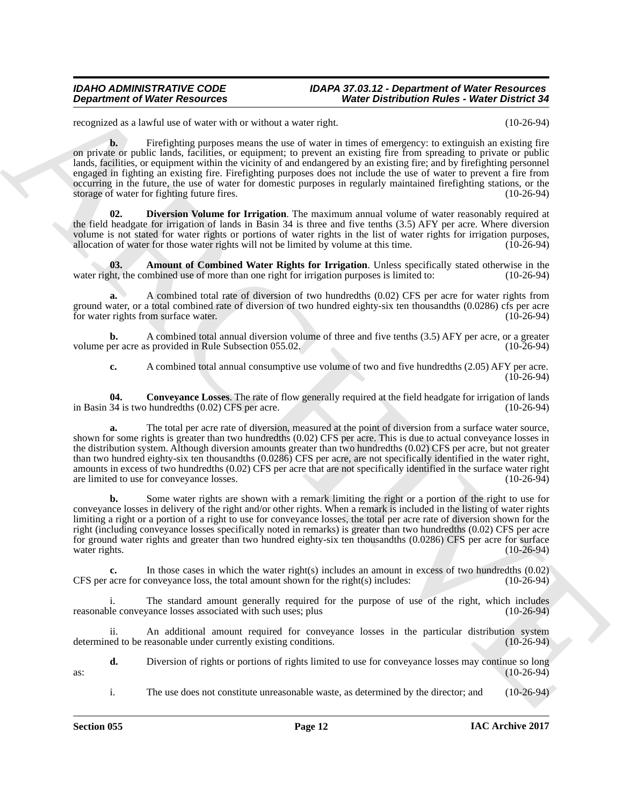### *IDAHO ADMINISTRATIVE CODE IDAPA 37.03.12 - Department of Water Resources Department of Water Resources Water Distribution Rules - Water District 34*

recognized as a lawful use of water with or without a water right. (10-26-94)

**b.** Firefighting purposes means the use of water in times of emergency: to extinguish an existing fire on private or public lands, facilities, or equipment; to prevent an existing fire from spreading to private or public lands, facilities, or equipment within the vicinity of and endangered by an existing fire; and by firefighting personnel engaged in fighting an existing fire. Firefighting purposes does not include the use of water to prevent a fire from occurring in the future, the use of water for domestic purposes in regularly maintained firefighting stations, or the storage of water for fighting future fires. (10-26-94)

<span id="page-11-2"></span>**02. Diversion Volume for Irrigation**. The maximum annual volume of water reasonably required at the field headgate for irrigation of lands in Basin 34 is three and five tenths (3.5) AFY per acre. Where diversion volume is not stated for water rights or portions of water rights in the list of water rights for irrigation purposes, allocation of water for those water rights will not be limited by volume at this time. (10-26-94) allocation of water for those water rights will not be limited by volume at this time.

<span id="page-11-0"></span>**03.** Amount of Combined Water Rights for Irrigation. Unless specifically stated otherwise in the ht, the combined use of more than one right for irrigation purposes is limited to: (10-26-94) water right, the combined use of more than one right for irrigation purposes is limited to:

**a.** A combined total rate of diversion of two hundredths (0.02) CFS per acre for water rights from ground water, or a total combined rate of diversion of two hundred eighty-six ten thousandths (0.0286) cfs per acre for water rights from surface water. (10-26-94)

**b.** A combined total annual diversion volume of three and five tenths (3.5) AFY per acre, or a greater per acre as provided in Rule Subsection 055.02. volume per acre as provided in Rule Subsection 055.02.

<span id="page-11-1"></span>**c.** A combined total annual consumptive use volume of two and five hundredths (2.05) AFY per acre.  $(10-26-94)$ 

**04.** Conveyance Losses. The rate of flow generally required at the field headgate for irrigation of lands 34 is two hundredths (0.02) CFS per acre. in Basin 34 is two hundredths  $(0.02)$  CFS per acre.

**Department of Weiler Resolution**<br>
Neutron Constitution Constitution in the state of the state of the state of the state of the state of the state of the state of the state of the state of the state of the state of the st **a.** The total per acre rate of diversion, measured at the point of diversion from a surface water source, shown for some rights is greater than two hundredths (0.02) CFS per acre. This is due to actual conveyance losses in the distribution system. Although diversion amounts greater than two hundredths (0.02) CFS per acre, but not greater than two hundred eighty-six ten thousandths (0.0286) CFS per acre, are not specifically identified in the water right, amounts in excess of two hundredths (0.02) CFS per acre that are not specifically identified in the surface water right are limited to use for conveyance losses. (10-26-94) are limited to use for conveyance losses.

**b.** Some water rights are shown with a remark limiting the right or a portion of the right to use for conveyance losses in delivery of the right and/or other rights. When a remark is included in the listing of water rights limiting a right or a portion of a right to use for conveyance losses, the total per acre rate of diversion shown for the right (including conveyance losses specifically noted in remarks) is greater than two hundredths (0.02) CFS per acre for ground water rights and greater than two hundred eighty-six ten thousandths (0.0286) CFS per acre for surface water rights. (10-26-94) (and the contract of the contract of the contract of the contract of the contract of the contract of the contract of the contract of the contract of the contract of the contract of the contract of

**c.** In those cases in which the water right(s) includes an amount in excess of two hundredths (0.02) acre for conveyance loss, the total amount shown for the right(s) includes: (10-26-94) CFS per acre for conveyance loss, the total amount shown for the right(s) includes:

i. The standard amount generally required for the purpose of use of the right, which includes reasonable conveyance losses associated with such uses; plus (10-26-94)

ii. An additional amount required for conveyance losses in the particular distribution system determined to be reasonable under currently existing conditions. (10-26-94)

**d.** Diversion of rights or portions of rights limited to use for conveyance losses may continue so long (10-26-94)  $\frac{(10-26-94)}{ }$ 

i. The use does not constitute unreasonable waste, as determined by the director; and (10-26-94)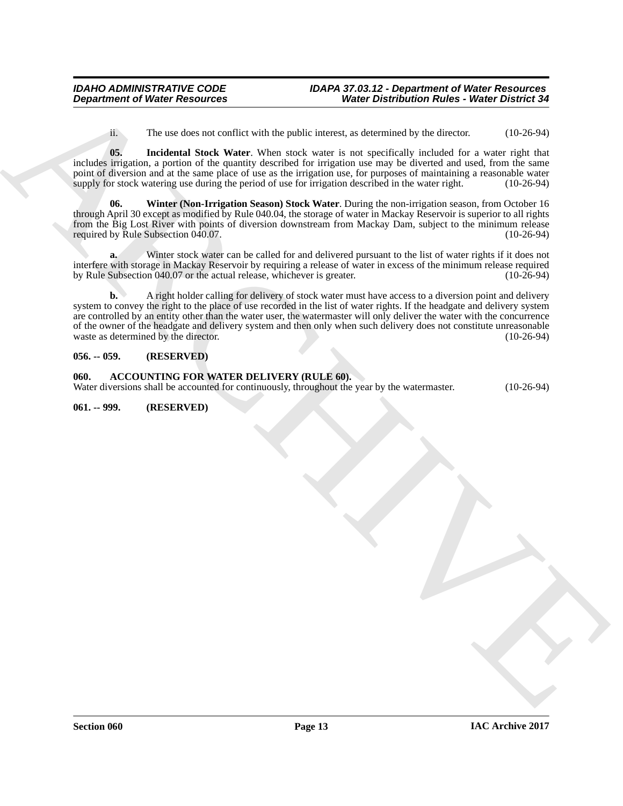<span id="page-12-5"></span><span id="page-12-4"></span>ii. The use does not conflict with the public interest, as determined by the director. (10-26-94)

**05. Incidental Stock Water**. When stock water is not specifically included for a water right that includes irrigation, a portion of the quantity described for irrigation use may be diverted and used, from the same point of diversion and at the same place of use as the irrigation use, for purposes of maintaining a reasonable water supply for stock watering use during the period of use for irrigation described in the water right. (10supply for stock watering use during the period of use for irrigation described in the water right.

**06. Winter (Non-Irrigation Season) Stock Water**. During the non-irrigation season, from October 16 through April 30 except as modified by Rule 040.04, the storage of water in Mackay Reservoir is superior to all rights from the Big Lost River with points of diversion downstream from Mackay Dam, subject to the minimum release required by Rule Subsection 040.07. required by Rule Subsection  $040.07$ .

Winter stock water can be called for and delivered pursuant to the list of water rights if it does not interfere with storage in Mackay Reservoir by requiring a release of water in excess of the minimum release required by Rule Subsection  $040.07$  or the actual release, whichever is greater.

**Department of Water Resources**<br> **Water Depression Radies : Water Schematics (A)**<br> **ARCHIVE ARCHIVE WATER (A)** (A) and the production Radies of the state of the state of the state of the state of the state of the state of **b.** A right holder calling for delivery of stock water must have access to a diversion point and delivery system to convey the right to the place of use recorded in the list of water rights. If the headgate and delivery system are controlled by an entity other than the water user, the watermaster will only deliver the water with the concurrence of the owner of the headgate and delivery system and then only when such delivery does not constitute unreasonable waste as determined by the director. (10-26-94) waste as determined by the director.

# <span id="page-12-0"></span>**056. -- 059. (RESERVED)**

<span id="page-12-3"></span><span id="page-12-1"></span>**060. ACCOUNTING FOR WATER DELIVERY (RULE 60).** Water diversions shall be accounted for continuously, throughout the year by the watermaster. (10-26-94)

<span id="page-12-2"></span>**061. -- 999. (RESERVED)**